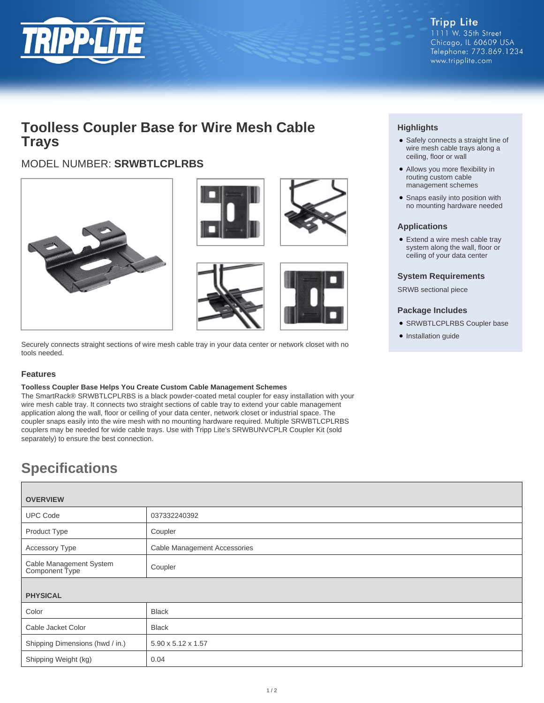

# **Toolless Coupler Base for Wire Mesh Cable Trays**

## MODEL NUMBER: **SRWBTLCPLRBS**







Securely connects straight sections of wire mesh cable tray in your data center or network closet with no tools needed.

### **Features**

#### **Toolless Coupler Base Helps You Create Custom Cable Management Schemes**

The SmartRack® SRWBTLCPLRBS is a black powder-coated metal coupler for easy installation with your wire mesh cable tray. It connects two straight sections of cable tray to extend your cable management application along the wall, floor or ceiling of your data center, network closet or industrial space. The coupler snaps easily into the wire mesh with no mounting hardware required. Multiple SRWBTLCPLRBS couplers may be needed for wide cable trays. Use with Tripp Lite's SRWBUNVCPLR Coupler Kit (sold separately) to ensure the best connection.

# **Specifications**

| <b>OVERVIEW</b>                           |                              |
|-------------------------------------------|------------------------------|
| <b>UPC Code</b>                           | 037332240392                 |
| Product Type                              | Coupler                      |
| Accessory Type                            | Cable Management Accessories |
| Cable Management System<br>Component Type | Coupler                      |
| <b>PHYSICAL</b>                           |                              |
| Color                                     | <b>Black</b>                 |
| Cable Jacket Color                        | <b>Black</b>                 |
| Shipping Dimensions (hwd / in.)           | 5.90 x 5.12 x 1.57           |
| Shipping Weight (kg)                      | 0.04                         |

### **Highlights**

- Safely connects a straight line of wire mesh cable trays along a ceiling, floor or wall
- Allows you more flexibility in routing custom cable management schemes
- Snaps easily into position with no mounting hardware needed

### **Applications**

● Extend a wire mesh cable tray system along the wall, floor or ceiling of your data center

### **System Requirements**

SRWB sectional piece

### **Package Includes**

- SRWBTLCPLRBS Coupler base
- Installation guide